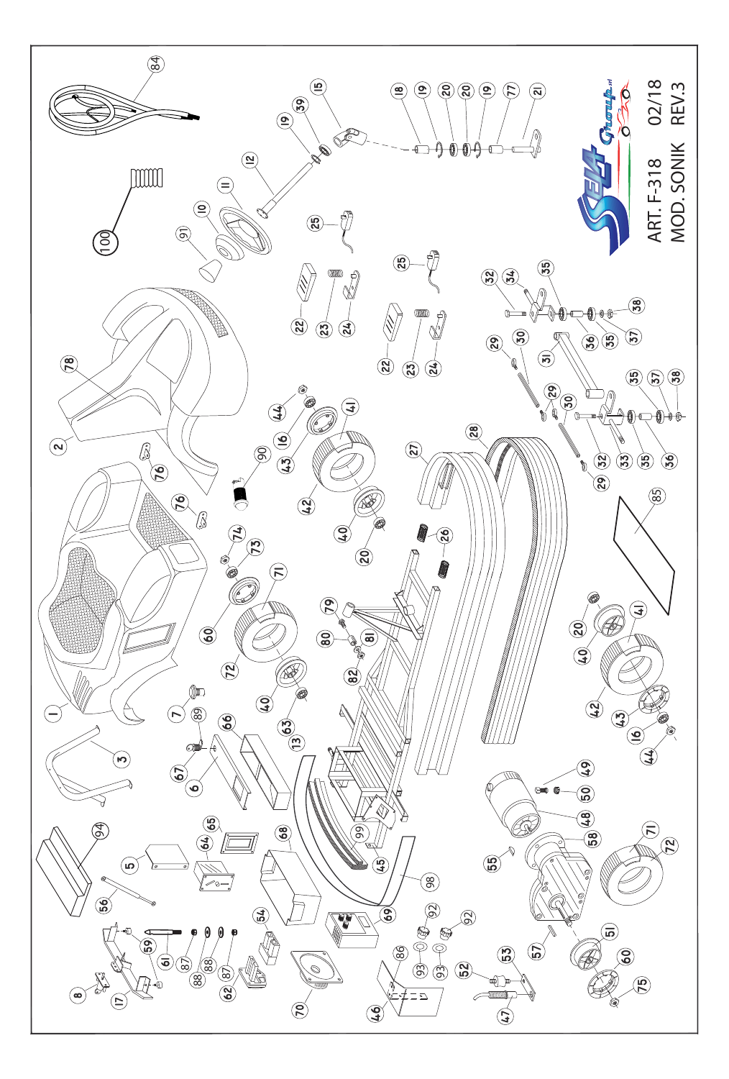